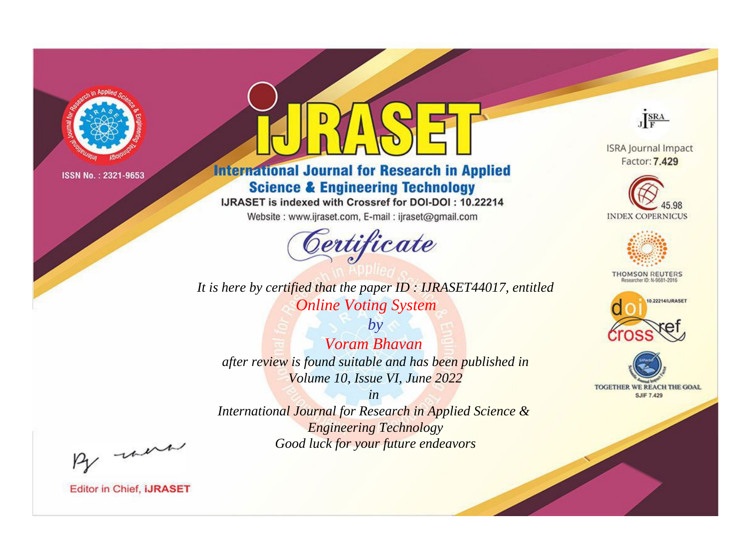

# **International Journal for Research in Applied Science & Engineering Technology**

IJRASET is indexed with Crossref for DOI-DOI: 10.22214

Website: www.ijraset.com, E-mail: ijraset@gmail.com



*It is here by certified that the paper ID : IJRASET44017, entitled Online Voting System*

*by Voram Bhavan after review is found suitable and has been published in Volume 10, Issue VI, June 2022*

*in International Journal for Research in Applied Science & Engineering Technology Good luck for your future endeavors*



**Editor in Chief, IJRASET** 

**ISRA Journal Impact** Factor: 7.429

JERA





**THOMSON REUTERS** 



TOGETHER WE REACH THE GOAL **SJIF 7.429**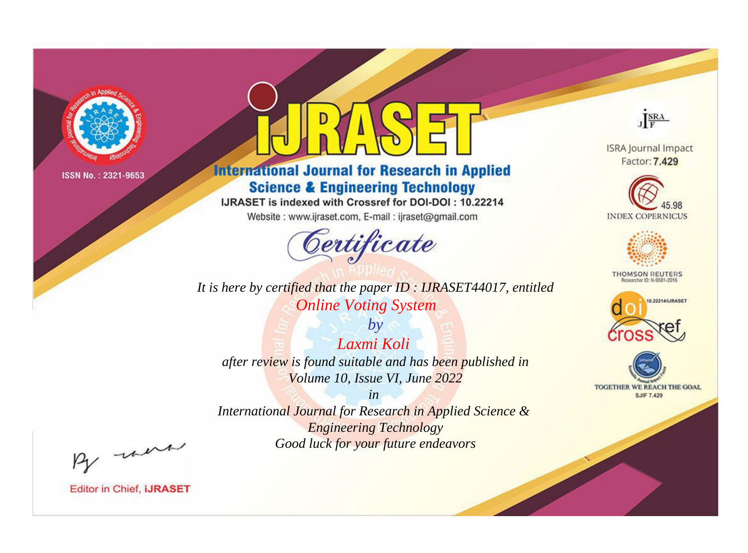

# **International Journal for Research in Applied Science & Engineering Technology**

IJRASET is indexed with Crossref for DOI-DOI: 10.22214

Website: www.ijraset.com, E-mail: ijraset@gmail.com



**ISRA Journal Impact** Factor: 7.429

JERA





**THOMSON REUTERS** 



TOGETHER WE REACH THE GOAL **SJIF 7.429** 

*It is here by certified that the paper ID : IJRASET44017, entitled Online Voting System*

*Laxmi Koli after review is found suitable and has been published in Volume 10, Issue VI, June 2022*

*by*

*in* 

*International Journal for Research in Applied Science & Engineering Technology Good luck for your future endeavors*

By morn

**Editor in Chief, IJRASET**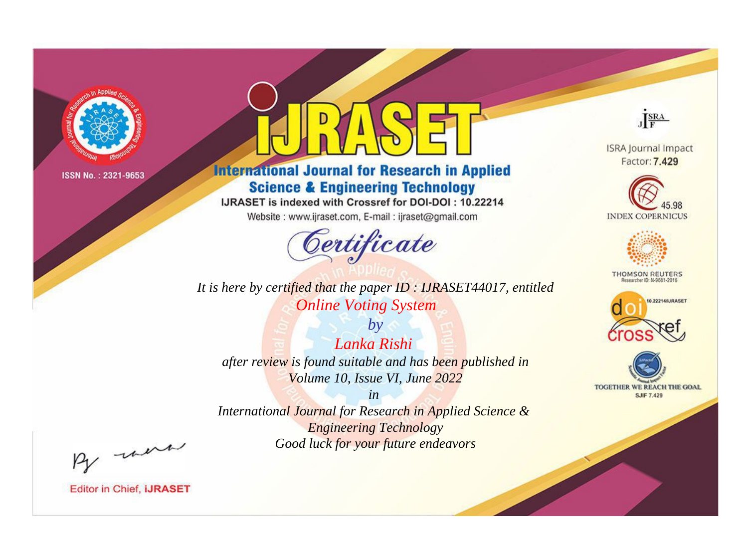

# **International Journal for Research in Applied Science & Engineering Technology**

IJRASET is indexed with Crossref for DOI-DOI: 10.22214

Website: www.ijraset.com, E-mail: ijraset@gmail.com



*It is here by certified that the paper ID : IJRASET44017, entitled Online Voting System*

*by Lanka Rishi after review is found suitable and has been published in Volume 10, Issue VI, June 2022*

*in International Journal for Research in Applied Science & Engineering Technology Good luck for your future endeavors*



**Editor in Chief, IJRASET** 

**ISRA Journal Impact** Factor: 7.429

JERA





**THOMSON REUTERS** 



TOGETHER WE REACH THE GOAL **SJIF 7.429**